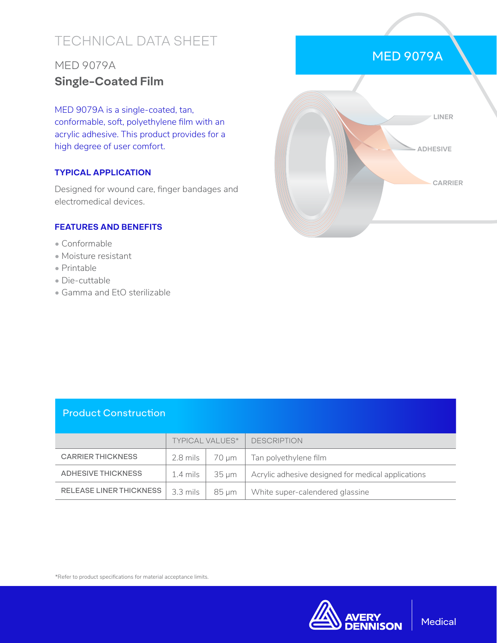# TECHNICAL DATA SHEET

## MED 9079A **Single-Coated Film**

MED 9079A is a single-coated, tan, conformable, soft, polyethylene film with an acrylic adhesive. This product provides for a high degree of user comfort.

### **TYPICAL APPLICATION**

Designed for wound care, finger bandages and electromedical devices.

#### **FEATURES AND BENEFITS**

- Conformable
- Moisture resistant
- Printable
- Die-cuttable
- Gamma and EtO sterilizable



### Product Construction

|                                | <b>TYPICAL VALUES*</b> |            | <b>DESCRIPTION</b>                                 |
|--------------------------------|------------------------|------------|----------------------------------------------------|
| <b>CARRIER THICKNESS</b>       | $2.8$ mils $\vert$     | 70 um      | Tan polyethylene film                              |
| ADHESIVE THICKNESS             | 1.4 mils               | 35 um      | Acrylic adhesive designed for medical applications |
| <b>RELEASE LINER THICKNESS</b> | 3.3 mils               | $85 \mu m$ | White super-calendered glassine                    |

\*Refer to product specifications for material acceptance limits.